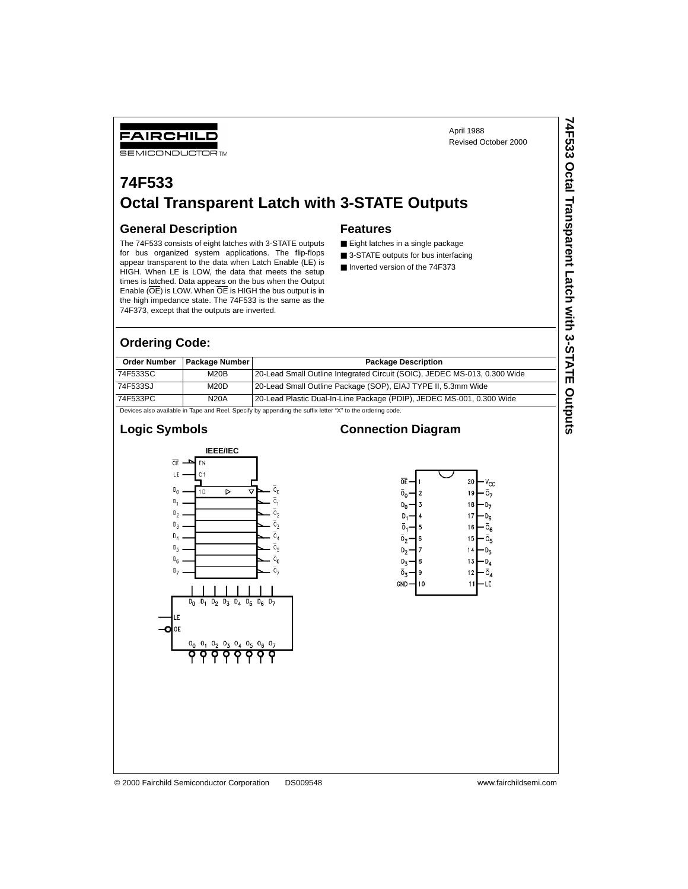**74F533 Octal Transparent Latch with 3-STATE Outputs**

74F533 Octal Transparent Latch with 3-STATE Outputs

## **74F533 Octal Transparent Latch with 3-STATE Outputs**

#### **General Description**

FAIRCHILD **SEMICONDUCTOR TM** 

The 74F533 consists of eight latches with 3-STATE outputs for bus organized system applications. The flip-flops appear transparent to the data when Latch Enable (LE) is HIGH. When LE is LOW, the data that meets the setup times is latched. Data appears on the bus when the Output Enable (OE) is LOW. When OE is HIGH the bus output is in the high impedance state. The 74F533 is the same as the 74F373, except that the outputs are inverted.

#### **Features**

- Eight latches in a single package
- 3-STATE outputs for bus interfacing
- Inverted version of the 74F373

**Connection Diagram**

#### **Ordering Code:**

| <b>Order Number</b>                                                                                      | <b>Package Number</b> | <b>Package Description</b>                                                |  |  |  |  |
|----------------------------------------------------------------------------------------------------------|-----------------------|---------------------------------------------------------------------------|--|--|--|--|
| 74F533SC                                                                                                 | M20B                  | 20-Lead Small Outline Integrated Circuit (SOIC), JEDEC MS-013, 0.300 Wide |  |  |  |  |
| 74F533SJ                                                                                                 | M20D                  | 20-Lead Small Outline Package (SOP), EIAJ TYPE II, 5.3mm Wide             |  |  |  |  |
| 74F533PC                                                                                                 | <b>N20A</b>           | 20-Lead Plastic Dual-In-Line Package (PDIP), JEDEC MS-001, 0.300 Wide     |  |  |  |  |
| Devices also available in Tane and Reel. Specify by appending the suffix letter "X" to the ordering code |                       |                                                                           |  |  |  |  |

Devices also available in Tape and Reel. Specify by appending the suffix letter "X" to the ordering code.

#### **Logic Symbols**





 $\mathbf{1}$ ٠LE

© 2000 Fairchild Semiconductor Corporation DS009548 www.fairchildsemi.com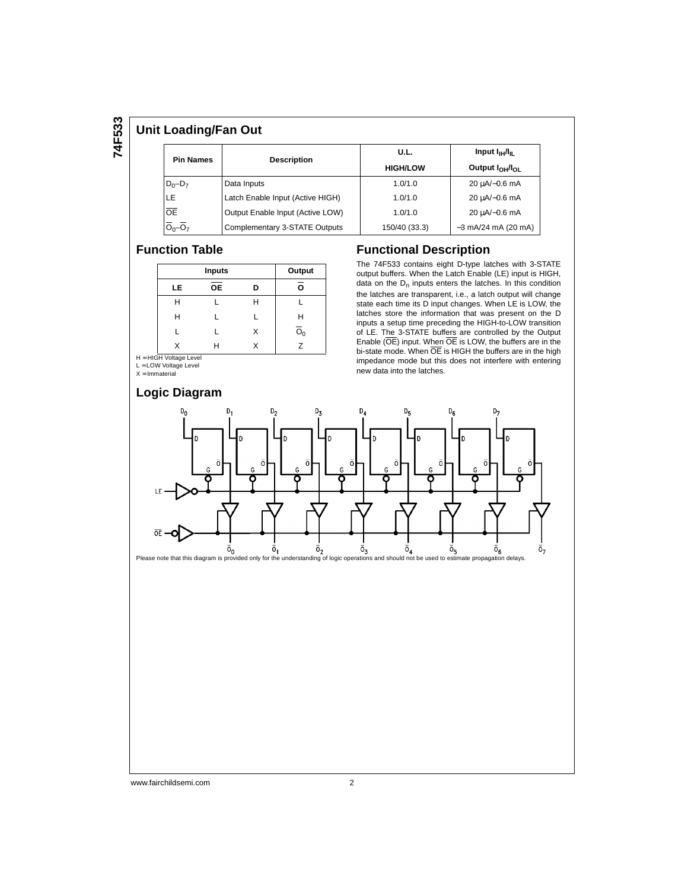# **74F533**

#### **Unit Loading/Fan Out**

| <b>Pin Names</b> | <b>Description</b>               | U.L.            | Input I <sub>IH</sub> /I <sub>II</sub>  |  |  |
|------------------|----------------------------------|-----------------|-----------------------------------------|--|--|
|                  |                                  | <b>HIGH/LOW</b> | Output I <sub>OH</sub> /I <sub>OI</sub> |  |  |
| $D_0 - D_7$      | Data Inputs                      | 1.0/1.0         | 20 uA/-0.6 mA                           |  |  |
| LE.              | Latch Enable Input (Active HIGH) | 1.0/1.0         | 20 µA/-0.6 mA                           |  |  |
| <b>OE</b>        | Output Enable Input (Active LOW) | 1.0/1.0         | 20 uA/-0.6 mA                           |  |  |
| $O_0 - O_7$      | Complementary 3-STATE Outputs    | 150/40 (33.3)   | $-3$ mA/24 mA (20 mA)                   |  |  |

#### **Function Table**

|           | Output    |   |                           |
|-----------|-----------|---|---------------------------|
| <b>LE</b> | <b>OE</b> | D | O                         |
| Н         |           | Н |                           |
| н         |           |   | Н                         |
|           |           | X | $\overline{\mathrm{o}}_0$ |
| x         | н         | x | $\overline{z}$            |

H = HIGH Voltage Level<br>L = LOW Voltage Level

 $X =$  Immaterial

#### **Logic Diagram**

#### **Functional Description**

The 74F533 contains eight D-type latches with 3-STATE output buffers. When the Latch Enable (LE) input is HIGH, data on the  $D_n$  inputs enters the latches. In this condition the latches are transparent, i.e., a latch output will change state each time its D input changes. When LE is LOW, the latches store the information that was present on the D inputs a setup time preceding the HIGH-to-LOW transition of LE. The 3-STATE buffers are controlled by the Output Enable (OE) input. When OE is LOW, the buffers are in the bi-state mode. When OE is HIGH the buffers are in the high impedance mode but this does not interfere with entering new data into the latches.

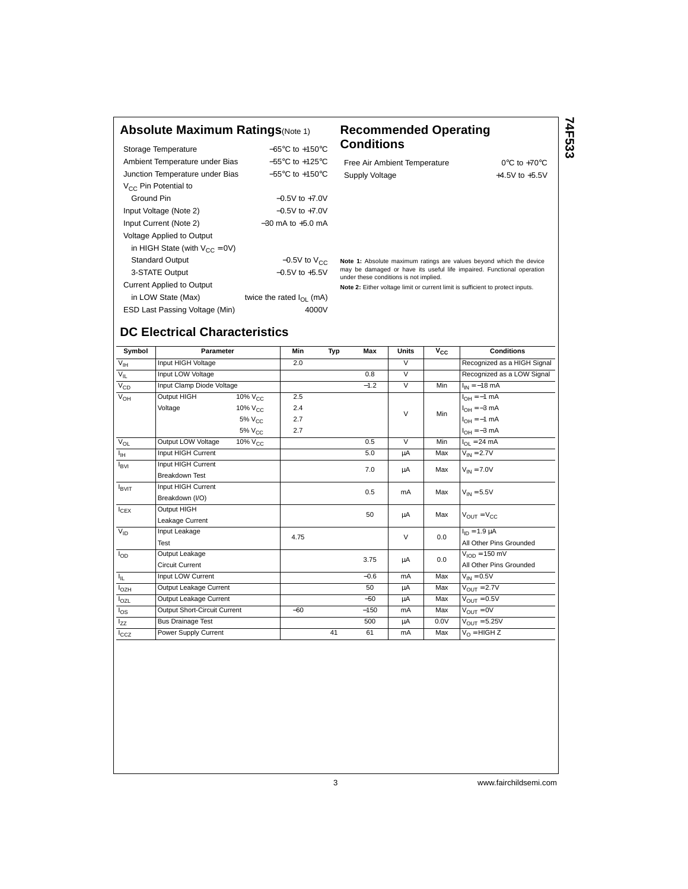#### **Absolute Maximum Ratings**(Note 1) **Recommended Operating**

|                                     | $-65^{\circ}$ C to $+150^{\circ}$ C |
|-------------------------------------|-------------------------------------|
| Storage Temperature                 |                                     |
| Ambient Temperature under Bias      | $-55^{\circ}$ C to $+125^{\circ}$ C |
| Junction Temperature under Bias     | $-55^{\circ}$ C to $+150^{\circ}$ C |
| V <sub>CC</sub> Pin Potential to    |                                     |
| Ground Pin                          | $-0.5V$ to $+7.0V$                  |
| Input Voltage (Note 2)              | $-0.5V$ to $+7.0V$                  |
| Input Current (Note 2)              | $-30$ mA to $+5$ 0 mA               |
| <b>Voltage Applied to Output</b>    |                                     |
| in HIGH State (with $V_{CC} = 0V$ ) |                                     |
| <b>Standard Output</b>              | $-0.5V$ to $V_{CC}$                 |
| 3-STATE Output                      | $-0.5V$ to $+5.5V$                  |
| <b>Current Applied to Output</b>    |                                     |
| in LOW State (Max)                  | twice the rated $I_{\Omega}$ (mA)   |
| ESD Last Passing Voltage (Min)      | 4000V                               |

## **Conditions**

Free Air Ambient Temperature 0°C to +70°C Supply Voltage  $+4.5V$  to  $+5.5V$ 

**74F533**

**Note 1:** Absolute maximum ratings are values beyond which the device may be damaged or have its useful life impaired. Functional operation under these conditions is not implied.

**Note 2:** Either voltage limit or current limit is sufficient to protect inputs.

### **DC Electrical Characteristics**

| Symbol            | Parameter                    |                        | Min   | Typ | Max    | Units          | $V_{CC}$ | <b>Conditions</b>                |
|-------------------|------------------------------|------------------------|-------|-----|--------|----------------|----------|----------------------------------|
| $V_{\text{IH}}$   | Input HIGH Voltage           |                        | 2.0   |     |        | $\vee$         |          | Recognized as a HIGH Signal      |
| $V_{\rm IL}$      | Input LOW Voltage            |                        |       |     | 0.8    | $\overline{V}$ |          | Recognized as a LOW Signal       |
| $V_{CD}$          | Input Clamp Diode Voltage    |                        |       |     | $-1.2$ | $\vee$         | Min      | $I_{IN} = -18$ mA                |
| $V_{OH}$          | Output HIGH                  | $10\%$ V <sub>CC</sub> | 2.5   |     |        |                |          | $I_{OH} = -1$ mA                 |
|                   | Voltage                      | 10% V <sub>CC</sub>    | 2.4   |     |        | $\vee$         | Min      | $I_{OH} = -3 mA$                 |
|                   |                              | 5% V <sub>CC</sub>     | 2.7   |     |        |                |          | $I_{OH} = -1$ mA                 |
|                   |                              | 5% V <sub>CC</sub>     | 2.7   |     |        |                |          | $I_{OH} = -3 mA$                 |
| $V_{OL}$          | Output LOW Voltage           | 10% V <sub>CC</sub>    |       |     | 0.5    | $\overline{V}$ | Min      | $I_{\Omega I}$ = 24 mA           |
| Iн                | Input HIGH Current           |                        |       |     | 5.0    | μA             | Max      | $V_{IN} = 2.7V$                  |
| $I_{\text{BVI}}$  | Input HIGH Current           |                        |       |     | 7.0    | μA             | Max      | $V_{IN} = 7.0V$                  |
|                   | <b>Breakdown Test</b>        |                        |       |     |        |                |          |                                  |
| <b>I</b> BVIT     | Input HIGH Current           |                        |       |     | 0.5    | mA             | Max      | $V_{IN} = 5.5V$                  |
|                   | Breakdown (I/O)              |                        |       |     |        |                |          |                                  |
| $I_{CEX}$         | Output HIGH                  |                        |       |     | 50     |                | Max      |                                  |
|                   | Leakage Current              |                        |       |     |        | μA             |          | $V_{\text{OUT}} = V_{\text{CC}}$ |
| $V_{ID}$          | Input Leakage                |                        | 4.75  |     |        | $\vee$         | 0.0      | $I_{ID} = 1.9 \mu A$             |
|                   | Test                         |                        |       |     |        |                |          | All Other Pins Grounded          |
| $I_{OD}$          | Output Leakage               |                        |       |     | 3.75   | μA             | 0.0      | $VION = 150 mV$                  |
|                   | <b>Circuit Current</b>       |                        |       |     |        |                |          | All Other Pins Grounded          |
| $I_{\parallel L}$ | Input LOW Current            |                        |       |     | $-0.6$ | mA             | Max      | $V_{IN} = 0.5V$                  |
| $I_{OZH}$         | Output Leakage Current       |                        |       |     | 50     | μA             | Max      | $V_{\text{OUT}} = 2.7V$          |
| $I_{OZL}$         | Output Leakage Current       |                        |       |     | $-50$  | μA             | Max      | $V_{\text{OUT}} = 0.5V$          |
| $I_{OS}$          | Output Short-Circuit Current |                        | $-60$ |     | $-150$ | mA             | Max      | $V_{\text{OUT}} = 0V$            |
| $I_{ZZ}$          | <b>Bus Drainage Test</b>     |                        |       |     | 500    | μA             | 0.0V     | $V_{\text{OUT}} = 5.25V$         |
| $I_{CCZ}$         | Power Supply Current         |                        |       | 41  | 61     | mA             | Max      | $V_{\Omega}$ = HIGH Z            |